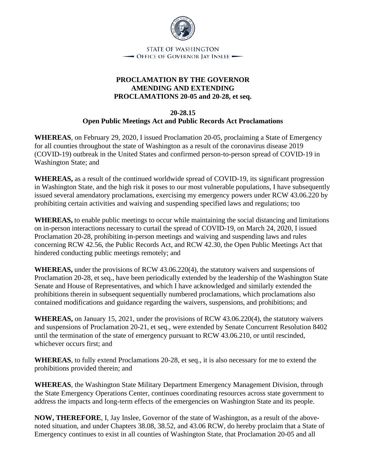

## **PROCLAMATION BY THE GOVERNOR AMENDING AND EXTENDING PROCLAMATIONS 20-05 and 20-28, et seq.**

**20-28.15**

## **Open Public Meetings Act and Public Records Act Proclamations**

**WHEREAS**, on February 29, 2020, I issued Proclamation 20-05, proclaiming a State of Emergency for all counties throughout the state of Washington as a result of the coronavirus disease 2019 (COVID-19) outbreak in the United States and confirmed person-to-person spread of COVID-19 in Washington State; and

**WHEREAS,** as a result of the continued worldwide spread of COVID-19, its significant progression in Washington State, and the high risk it poses to our most vulnerable populations, I have subsequently issued several amendatory proclamations, exercising my emergency powers under RCW 43.06.220 by prohibiting certain activities and waiving and suspending specified laws and regulations; too

**WHEREAS,** to enable public meetings to occur while maintaining the social distancing and limitations on in-person interactions necessary to curtail the spread of COVID-19, on March 24, 2020, I issued Proclamation 20-28, prohibiting in-person meetings and waiving and suspending laws and rules concerning RCW 42.56, the Public Records Act, and RCW 42.30, the Open Public Meetings Act that hindered conducting public meetings remotely; and

**WHEREAS,** under the provisions of RCW 43.06.220(4), the statutory waivers and suspensions of Proclamation 20-28, et seq., have been periodically extended by the leadership of the Washington State Senate and House of Representatives, and which I have acknowledged and similarly extended the prohibitions therein in subsequent sequentially numbered proclamations, which proclamations also contained modifications and guidance regarding the waivers, suspensions, and prohibitions; and

**WHEREAS,** on January 15, 2021, under the provisions of RCW 43.06.220(4), the statutory waivers and suspensions of Proclamation 20-21, et seq., were extended by Senate Concurrent Resolution 8402 until the termination of the state of emergency pursuant to RCW 43.06.210, or until rescinded, whichever occurs first; and

**WHEREAS**, to fully extend Proclamations 20-28, et seq., it is also necessary for me to extend the prohibitions provided therein; and

**WHEREAS**, the Washington State Military Department Emergency Management Division, through the State Emergency Operations Center, continues coordinating resources across state government to address the impacts and long-term effects of the emergencies on Washington State and its people.

**NOW, THEREFORE**, I, Jay Inslee, Governor of the state of Washington, as a result of the abovenoted situation, and under Chapters 38.08, 38.52, and 43.06 RCW, do hereby proclaim that a State of Emergency continues to exist in all counties of Washington State, that Proclamation 20-05 and all